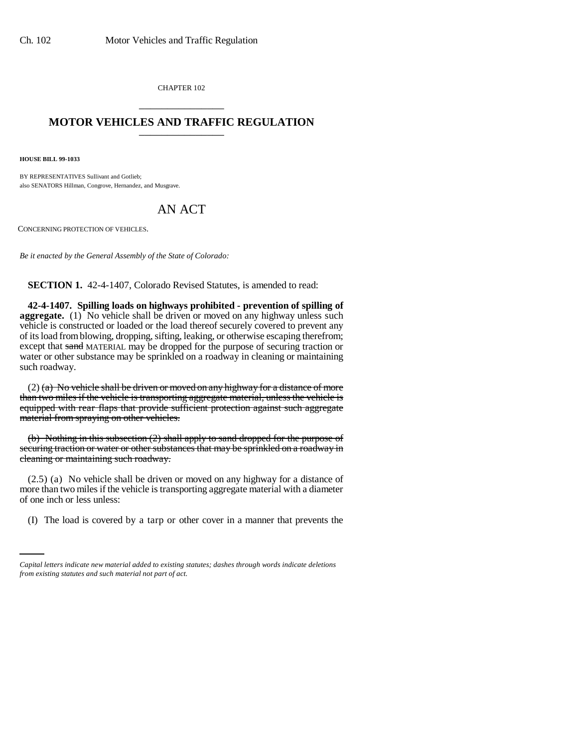CHAPTER 102 \_\_\_\_\_\_\_\_\_\_\_\_\_\_\_

## **MOTOR VEHICLES AND TRAFFIC REGULATION** \_\_\_\_\_\_\_\_\_\_\_\_\_\_\_

**HOUSE BILL 99-1033** 

BY REPRESENTATIVES Sullivant and Gotlieb; also SENATORS Hillman, Congrove, Hernandez, and Musgrave.

## AN ACT

CONCERNING PROTECTION OF VEHICLES.

*Be it enacted by the General Assembly of the State of Colorado:*

**SECTION 1.** 42-4-1407, Colorado Revised Statutes, is amended to read:

**42-4-1407. Spilling loads on highways prohibited - prevention of spilling of aggregate.** (1) No vehicle shall be driven or moved on any highway unless such vehicle is constructed or loaded or the load thereof securely covered to prevent any of its load from blowing, dropping, sifting, leaking, or otherwise escaping therefrom; except that sand MATERIAL may be dropped for the purpose of securing traction or water or other substance may be sprinkled on a roadway in cleaning or maintaining such roadway.

 $(2)$  (a) No vehicle shall be driven or moved on any highway for a distance of more than two miles if the vehicle is transporting aggregate material, unless the vehicle is equipped with rear flaps that provide sufficient protection against such aggregate material from spraying on other vehicles.

(b) Nothing in this subsection (2) shall apply to sand dropped for the purpose of securing traction or water or other substances that may be sprinkled on a roadway in cleaning or maintaining such roadway.

of one inch or less unless: (2.5) (a) No vehicle shall be driven or moved on any highway for a distance of more than two miles if the vehicle is transporting aggregate material with a diameter

(I) The load is covered by a tarp or other cover in a manner that prevents the

*Capital letters indicate new material added to existing statutes; dashes through words indicate deletions from existing statutes and such material not part of act.*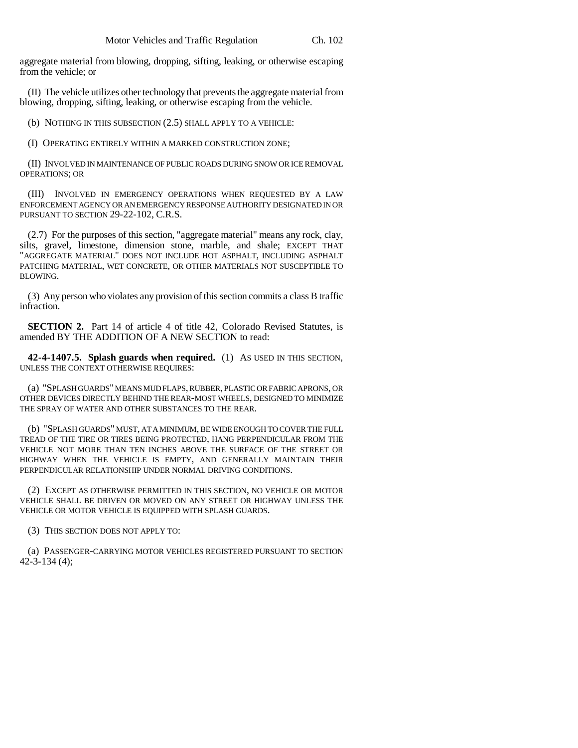aggregate material from blowing, dropping, sifting, leaking, or otherwise escaping from the vehicle; or

(II) The vehicle utilizes other technology that prevents the aggregate material from blowing, dropping, sifting, leaking, or otherwise escaping from the vehicle.

(b) NOTHING IN THIS SUBSECTION (2.5) SHALL APPLY TO A VEHICLE:

(I) OPERATING ENTIRELY WITHIN A MARKED CONSTRUCTION ZONE;

(II) INVOLVED IN MAINTENANCE OF PUBLIC ROADS DURING SNOW OR ICE REMOVAL OPERATIONS; OR

(III) INVOLVED IN EMERGENCY OPERATIONS WHEN REQUESTED BY A LAW ENFORCEMENT AGENCY OR AN EMERGENCY RESPONSE AUTHORITY DESIGNATED IN OR PURSUANT TO SECTION 29-22-102, C.R.S.

(2.7) For the purposes of this section, "aggregate material" means any rock, clay, silts, gravel, limestone, dimension stone, marble, and shale; EXCEPT THAT "AGGREGATE MATERIAL" DOES NOT INCLUDE HOT ASPHALT, INCLUDING ASPHALT PATCHING MATERIAL, WET CONCRETE, OR OTHER MATERIALS NOT SUSCEPTIBLE TO BLOWING.

(3) Any person who violates any provision of this section commits a class B traffic infraction.

**SECTION 2.** Part 14 of article 4 of title 42, Colorado Revised Statutes, is amended BY THE ADDITION OF A NEW SECTION to read:

**42-4-1407.5. Splash guards when required.** (1) AS USED IN THIS SECTION, UNLESS THE CONTEXT OTHERWISE REQUIRES:

(a) "SPLASH GUARDS" MEANS MUD FLAPS, RUBBER, PLASTIC OR FABRIC APRONS, OR OTHER DEVICES DIRECTLY BEHIND THE REAR-MOST WHEELS, DESIGNED TO MINIMIZE THE SPRAY OF WATER AND OTHER SUBSTANCES TO THE REAR.

(b) "SPLASH GUARDS" MUST, AT A MINIMUM, BE WIDE ENOUGH TO COVER THE FULL TREAD OF THE TIRE OR TIRES BEING PROTECTED, HANG PERPENDICULAR FROM THE VEHICLE NOT MORE THAN TEN INCHES ABOVE THE SURFACE OF THE STREET OR HIGHWAY WHEN THE VEHICLE IS EMPTY, AND GENERALLY MAINTAIN THEIR PERPENDICULAR RELATIONSHIP UNDER NORMAL DRIVING CONDITIONS.

(2) EXCEPT AS OTHERWISE PERMITTED IN THIS SECTION, NO VEHICLE OR MOTOR VEHICLE SHALL BE DRIVEN OR MOVED ON ANY STREET OR HIGHWAY UNLESS THE VEHICLE OR MOTOR VEHICLE IS EQUIPPED WITH SPLASH GUARDS.

(3) THIS SECTION DOES NOT APPLY TO:

(a) PASSENGER-CARRYING MOTOR VEHICLES REGISTERED PURSUANT TO SECTION 42-3-134 (4);